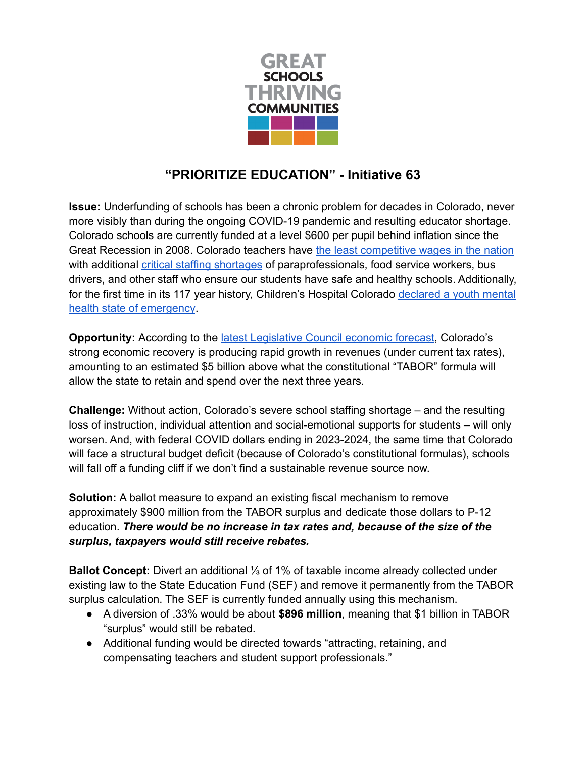

## **"PRIORITIZE EDUCATION" - Initiative 63**

**Issue:** Underfunding of schools has been a chronic problem for decades in Colorado, never more visibly than during the ongoing COVID-19 pandemic and resulting educator shortage. Colorado schools are currently funded at a level \$600 per pupil behind inflation since the Great Recession in 2008. Colorado teachers have the least [competitive](https://www.greateducation.org/wp-content/uploads/2018/04/teachercompenstation418-1.jpg) wages in the nation with additional critical staffing [shortages](https://coloradosun.com/2022/01/12/colorado-teacher-shortage-k12-education-budget-stabilization-factor/) of paraprofessionals, food service workers, bus drivers, and other staff who ensure our students have safe and healthy schools. Additionally, for the first time in its 117 year history, Children's Hospital Colorado [declared](https://www.childrenscolorado.org/about/news/2021/may-2021/youth-mental-health-state-of-emergency/) a youth mental health state of [emergency](https://www.childrenscolorado.org/about/news/2021/may-2021/youth-mental-health-state-of-emergency/).

**Opportunity:** According to the latest [Legislative](https://leg.colorado.gov/sites/default/files/images/march22forecast_2.pdf) Council economic forecast, Colorado's strong economic recovery is producing rapid growth in revenues (under current tax rates), amounting to an estimated \$5 billion above what the constitutional "TABOR" formula will allow the state to retain and spend over the next three years.

**Challenge:** Without action, Colorado's severe school staffing shortage – and the resulting loss of instruction, individual attention and social-emotional supports for students – will only worsen. And, with federal COVID dollars ending in 2023-2024, the same time that Colorado will face a structural budget deficit (because of Colorado's constitutional formulas), schools will fall off a funding cliff if we don't find a sustainable revenue source now.

**Solution:** A ballot measure to expand an existing fiscal mechanism to remove approximately \$900 million from the TABOR surplus and dedicate those dollars to P-12 education. *There would be no increase in tax rates and, because of the size of the surplus, taxpayers would still receive rebates.*

**Ballot Concept:** Divert an additional ⅓ of 1% of taxable income already collected under existing law to the State Education Fund (SEF) and remove it permanently from the TABOR surplus calculation. The SEF is currently funded annually using this mechanism.

- A diversion of .33% would be about **\$896 million**, meaning that \$1 billion in TABOR "surplus" would still be rebated.
- Additional funding would be directed towards "attracting, retaining, and compensating teachers and student support professionals."